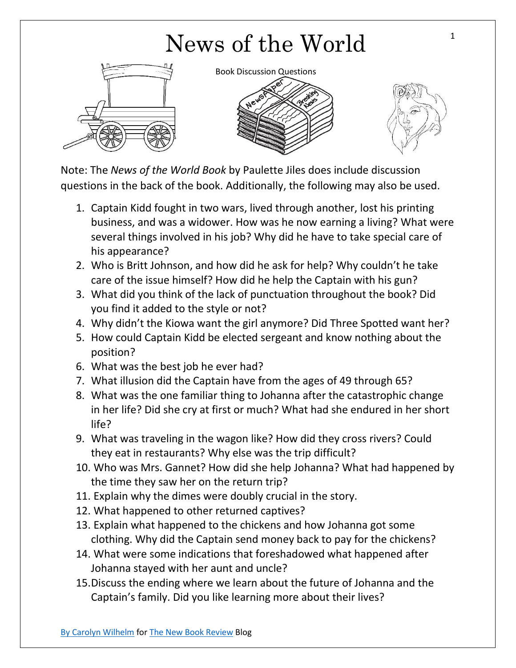## News of the World



Book Discussion Questions





Note: The *News of the World Book* by Paulette Jiles does include discussion questions in the back of the book. Additionally, the following may also be used.

- 1. Captain Kidd fought in two wars, lived through another, lost his printing business, and was a widower. How was he now earning a living? What were several things involved in his job? Why did he have to take special care of his appearance?
- 2. Who is Britt Johnson, and how did he ask for help? Why couldn't he take care of the issue himself? How did he help the Captain with his gun?
- 3. What did you think of the lack of punctuation throughout the book? Did you find it added to the style or not?
- 4. Why didn't the Kiowa want the girl anymore? Did Three Spotted want her?
- 5. How could Captain Kidd be elected sergeant and know nothing about the position?
- 6. What was the best job he ever had?
- 7. What illusion did the Captain have from the ages of 49 through 65?
- 8. What was the one familiar thing to Johanna after the catastrophic change in her life? Did she cry at first or much? What had she endured in her short life?
- 9. What was traveling in the wagon like? How did they cross rivers? Could they eat in restaurants? Why else was the trip difficult?
- 10. Who was Mrs. Gannet? How did she help Johanna? What had happened by the time they saw her on the return trip?
- 11. Explain why the dimes were doubly crucial in the story.
- 12. What happened to other returned captives?
- 13. Explain what happened to the chickens and how Johanna got some clothing. Why did the Captain send money back to pay for the chickens?
- 14. What were some indications that foreshadowed what happened after Johanna stayed with her aunt and uncle?
- 15.Discuss the ending where we learn about the future of Johanna and the Captain's family. Did you like learning more about their lives?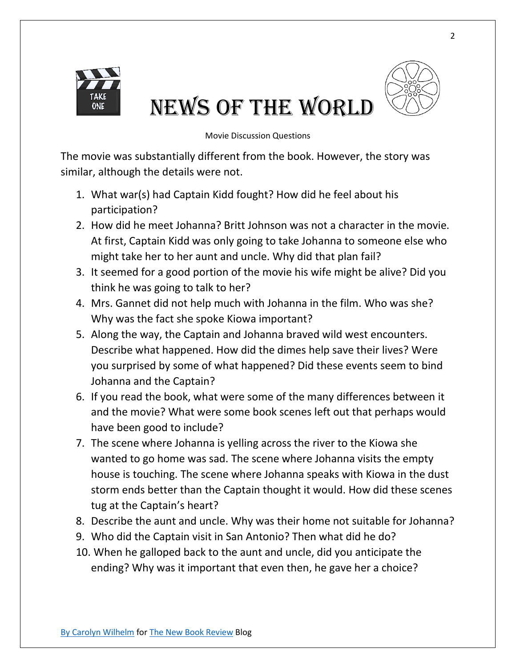

## News of the World



Movie Discussion Questions

The movie was substantially different from the book. However, the story was similar, although the details were not.

- 1. What war(s) had Captain Kidd fought? How did he feel about his participation?
- 2. How did he meet Johanna? Britt Johnson was not a character in the movie. At first, Captain Kidd was only going to take Johanna to someone else who might take her to her aunt and uncle. Why did that plan fail?
- 3. It seemed for a good portion of the movie his wife might be alive? Did you think he was going to talk to her?
- 4. Mrs. Gannet did not help much with Johanna in the film. Who was she? Why was the fact she spoke Kiowa important?
- 5. Along the way, the Captain and Johanna braved wild west encounters. Describe what happened. How did the dimes help save their lives? Were you surprised by some of what happened? Did these events seem to bind Johanna and the Captain?
- 6. If you read the book, what were some of the many differences between it and the movie? What were some book scenes left out that perhaps would have been good to include?
- 7. The scene where Johanna is yelling across the river to the Kiowa she wanted to go home was sad. The scene where Johanna visits the empty house is touching. The scene where Johanna speaks with Kiowa in the dust storm ends better than the Captain thought it would. How did these scenes tug at the Captain's heart?
- 8. Describe the aunt and uncle. Why was their home not suitable for Johanna?
- 9. Who did the Captain visit in San Antonio? Then what did he do?
- 10. When he galloped back to the aunt and uncle, did you anticipate the ending? Why was it important that even then, he gave her a choice?